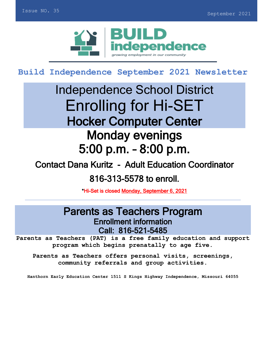

**Build Independence September 2021 Newsletter** 

# Independence School District Enrolling for Hi-SET Hocker Computer Center Monday evenings 5:00 p.m. – 8:00 p.m.

# Contact Dana Kuritz - Adult Education Coordinator

# 816-313-5578 to enroll.

\*Hi-Set is closed Monday, September 6, 2021

# Parents as Teachers Program Enrollment information Call: 816-521-5485

**Parents as Teachers (PAT) is a free family education and support program which begins prenatally to age five.**

**Parents as Teachers offers personal visits, screenings, community referrals and group activities.** 

**Hanthorn Early Education Center 1511 S Kings Highway Independence, Missouri 64055**